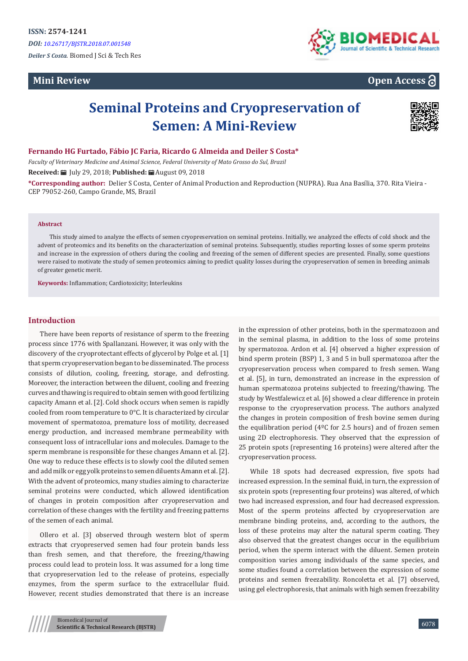# **Mini Review**



# **Open Access**

# **Seminal Proteins and Cryopreservation of Semen: A Mini-Review**



#### **Fernando HG Furtado, Fábio JC Faria, Ricardo G Almeida and Deiler S Costa\***

*Faculty of Veterinary Medicine and Animal Science, Federal University of Mato Grosso do Sul, Brazil*

**Received:** July 29, 2018; **Published:** August 09, 2018

**\*Corresponding author:** Delier S Costa, Center of Animal Production and Reproduction (NUPRA). Rua Ana Basília, 370. Rita Vieira - CEP 79052-260, Campo Grande, MS, Brazil

#### **Abstract**

This study aimed to analyze the effects of semen cryopreservation on seminal proteins. Initially, we analyzed the effects of cold shock and the advent of proteomics and its benefits on the characterization of seminal proteins. Subsequently, studies reporting losses of some sperm proteins and increase in the expression of others during the cooling and freezing of the semen of different species are presented. Finally, some questions were raised to motivate the study of semen proteomics aiming to predict quality losses during the cryopreservation of semen in breeding animals of greater genetic merit.

**Keywords:** Inflammation; Cardiotoxicity; Interleukins

### **Introduction**

There have been reports of resistance of sperm to the freezing process since 1776 with Spallanzani. However, it was only with the discovery of the cryoprotectant effects of glycerol by Polge et al. [1] that sperm cryopreservation began to be disseminated. The process consists of dilution, cooling, freezing, storage, and defrosting. Moreover, the interaction between the diluent, cooling and freezing curves and thawing is required to obtain semen with good fertilizing capacity Amann et al. [2]. Cold shock occurs when semen is rapidly cooled from room temperature to 0°C. It is characterized by circular movement of spermatozoa, premature loss of motility, decreased energy production, and increased membrane permeability with consequent loss of intracellular ions and molecules. Damage to the sperm membrane is responsible for these changes Amann et al. [2]. One way to reduce these effects is to slowly cool the diluted semen and add milk or egg yolk proteins to semen diluents Amann et al. [2]. With the advent of proteomics, many studies aiming to characterize seminal proteins were conducted, which allowed identification of changes in protein composition after cryopreservation and correlation of these changes with the fertility and freezing patterns of the semen of each animal.

Ollero et al. [3] observed through western blot of sperm extracts that cryopreserved semen had four protein bands less than fresh semen, and that therefore, the freezing/thawing process could lead to protein loss. It was assumed for a long time that cryopreservation led to the release of proteins, especially enzymes, from the sperm surface to the extracellular fluid. However, recent studies demonstrated that there is an increase

in the expression of other proteins, both in the spermatozoon and in the seminal plasma, in addition to the loss of some proteins by spermatozoa. Ardon et al. [4] observed a higher expression of bind sperm protein (BSP) 1, 3 and 5 in bull spermatozoa after the cryopreservation process when compared to fresh semen. Wang et al. [5], in turn, demonstrated an increase in the expression of human spermatozoa proteins subjected to freezing/thawing. The study by Westfalewicz et al. [6] showed a clear difference in protein response to the cryopreservation process. The authors analyzed the changes in protein composition of fresh bovine semen during the equilibration period (4ºC for 2.5 hours) and of frozen semen using 2D electrophoresis. They observed that the expression of 25 protein spots (representing 16 proteins) were altered after the cryopreservation process.

While 18 spots had decreased expression, five spots had increased expression. In the seminal fluid, in turn, the expression of six protein spots (representing four proteins) was altered, of which two had increased expression, and four had decreased expression. Most of the sperm proteins affected by cryopreservation are membrane binding proteins, and, according to the authors, the loss of these proteins may alter the natural sperm coating. They also observed that the greatest changes occur in the equilibrium period, when the sperm interact with the diluent. Semen protein composition varies among individuals of the same species, and some studies found a correlation between the expression of some proteins and semen freezability. Roncoletta et al. [7] observed, using gel electrophoresis, that animals with high semen freezability